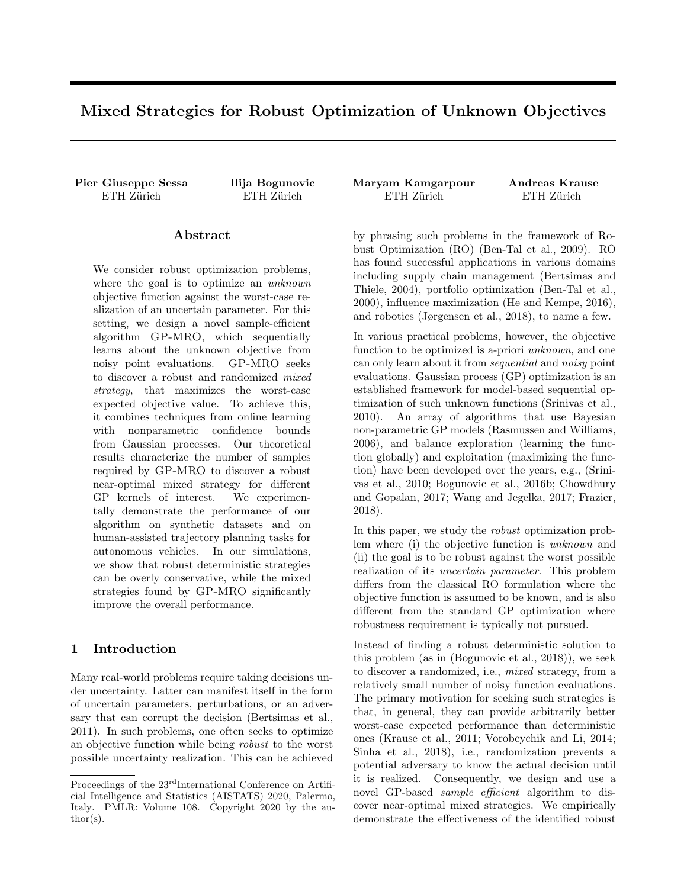# Mixed Strategies for Robust Optimization of Unknown Objectives

Pier Giuseppe Sessa Ilija Bogunovic Maryam Kamgarpour Andreas Krause

#### Abstract

We consider robust optimization problems, where the goal is to optimize an unknown objective function against the worst-case realization of an uncertain parameter. For this setting, we design a novel sample-efficient algorithm GP-MRO, which sequentially learns about the unknown objective from noisy point evaluations. GP-MRO seeks to discover a robust and randomized mixed strategy, that maximizes the worst-case expected objective value. To achieve this, it combines techniques from online learning with nonparametric confidence bounds from Gaussian processes. Our theoretical results characterize the number of samples required by GP-MRO to discover a robust near-optimal mixed strategy for different GP kernels of interest. We experimentally demonstrate the performance of our algorithm on synthetic datasets and on human-assisted trajectory planning tasks for autonomous vehicles. In our simulations, we show that robust deterministic strategies can be overly conservative, while the mixed strategies found by GP-MRO significantly improve the overall performance.

## 1 Introduction

Many real-world problems require taking decisions under uncertainty. Latter can manifest itself in the form of uncertain parameters, perturbations, or an adversary that can corrupt the decision (Bertsimas et al., 2011). In such problems, one often seeks to optimize an objective function while being robust to the worst possible uncertainty realization. This can be achieved

ETH Zürich ETH Zürich ETH Zürich ETH Zürich ETH Zürich

by phrasing such problems in the framework of Robust Optimization (RO) (Ben-Tal et al., 2009). RO has found successful applications in various domains including supply chain management (Bertsimas and Thiele, 2004), portfolio optimization (Ben-Tal et al., 2000), influence maximization (He and Kempe, 2016), and robotics (Jørgensen et al., 2018), to name a few.

In various practical problems, however, the objective function to be optimized is a-priori *unknown*, and one can only learn about it from sequential and noisy point evaluations. Gaussian process (GP) optimization is an established framework for model-based sequential optimization of such unknown functions (Srinivas et al., 2010). An array of algorithms that use Bayesian non-parametric GP models (Rasmussen and Williams, 2006), and balance exploration (learning the function globally) and exploitation (maximizing the function) have been developed over the years, e.g., (Srinivas et al., 2010; Bogunovic et al., 2016b; Chowdhury and Gopalan, 2017; Wang and Jegelka, 2017; Frazier, 2018).

In this paper, we study the robust optimization problem where (i) the objective function is unknown and (ii) the goal is to be robust against the worst possible realization of its uncertain parameter. This problem differs from the classical RO formulation where the objective function is assumed to be known, and is also different from the standard GP optimization where robustness requirement is typically not pursued.

Instead of finding a robust deterministic solution to this problem (as in (Bogunovic et al., 2018)), we seek to discover a randomized, i.e., mixed strategy, from a relatively small number of noisy function evaluations. The primary motivation for seeking such strategies is that, in general, they can provide arbitrarily better worst-case expected performance than deterministic ones (Krause et al., 2011; Vorobeychik and Li, 2014; Sinha et al., 2018), i.e., randomization prevents a potential adversary to know the actual decision until it is realized. Consequently, we design and use a novel GP-based *sample efficient* algorithm to discover near-optimal mixed strategies. We empirically demonstrate the effectiveness of the identified robust

Proceedings of the  $23^{\text{rd}}$ International Conference on Artificial Intelligence and Statistics (AISTATS) 2020, Palermo, Italy. PMLR: Volume 108. Copyright 2020 by the au- $\text{thor}(s)$ .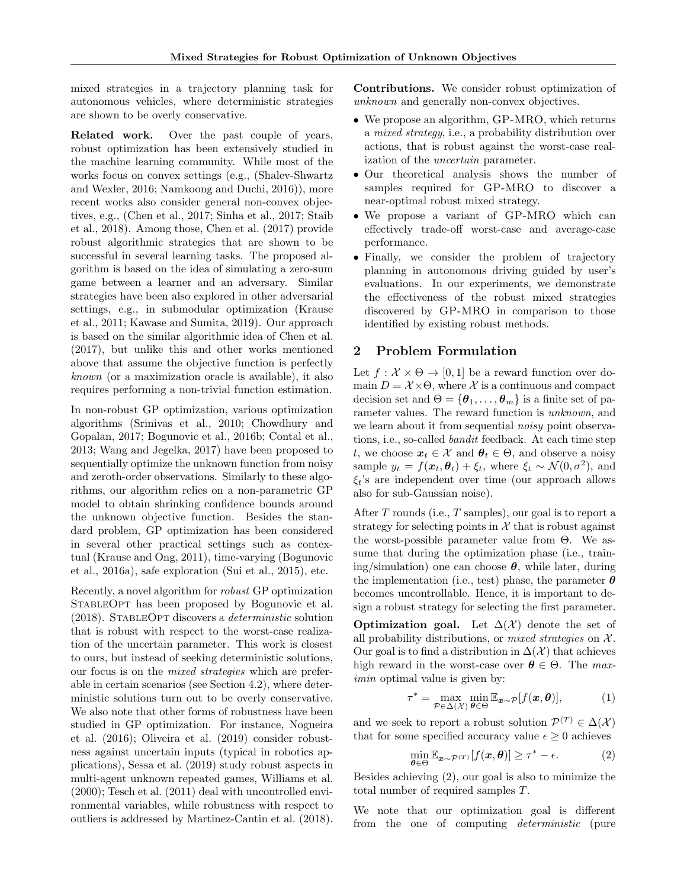mixed strategies in a trajectory planning task for autonomous vehicles, where deterministic strategies are shown to be overly conservative.

Related work. Over the past couple of years, robust optimization has been extensively studied in the machine learning community. While most of the works focus on convex settings (e.g., (Shalev-Shwartz and Wexler, 2016; Namkoong and Duchi, 2016)), more recent works also consider general non-convex objectives, e.g., (Chen et al., 2017; Sinha et al., 2017; Staib et al., 2018). Among those, Chen et al. (2017) provide robust algorithmic strategies that are shown to be successful in several learning tasks. The proposed algorithm is based on the idea of simulating a zero-sum game between a learner and an adversary. Similar strategies have been also explored in other adversarial settings, e.g., in submodular optimization (Krause et al., 2011; Kawase and Sumita, 2019). Our approach is based on the similar algorithmic idea of Chen et al. (2017), but unlike this and other works mentioned above that assume the objective function is perfectly known (or a maximization oracle is available), it also requires performing a non-trivial function estimation.

In non-robust GP optimization, various optimization algorithms (Srinivas et al., 2010; Chowdhury and Gopalan, 2017; Bogunovic et al., 2016b; Contal et al., 2013; Wang and Jegelka, 2017) have been proposed to sequentially optimize the unknown function from noisy and zeroth-order observations. Similarly to these algorithms, our algorithm relies on a non-parametric GP model to obtain shrinking confidence bounds around the unknown objective function. Besides the standard problem, GP optimization has been considered in several other practical settings such as contextual (Krause and Ong, 2011), time-varying (Bogunovic et al., 2016a), safe exploration (Sui et al., 2015), etc.

Recently, a novel algorithm for robust GP optimization STABLEOPT has been proposed by Bogunovic et al. (2018). StableOpt discovers a deterministic solution that is robust with respect to the worst-case realization of the uncertain parameter. This work is closest to ours, but instead of seeking deterministic solutions, our focus is on the mixed strategies which are preferable in certain scenarios (see Section 4.2), where deterministic solutions turn out to be overly conservative. We also note that other forms of robustness have been studied in GP optimization. For instance, Nogueira et al. (2016); Oliveira et al. (2019) consider robustness against uncertain inputs (typical in robotics applications), Sessa et al. (2019) study robust aspects in multi-agent unknown repeated games, Williams et al. (2000); Tesch et al. (2011) deal with uncontrolled environmental variables, while robustness with respect to outliers is addressed by Martinez-Cantin et al. (2018). Contributions. We consider robust optimization of unknown and generally non-convex objectives.

- We propose an algorithm, GP-MRO, which returns a mixed strategy, i.e., a probability distribution over actions, that is robust against the worst-case realization of the uncertain parameter.
- Our theoretical analysis shows the number of samples required for GP-MRO to discover a near-optimal robust mixed strategy.
- We propose a variant of GP-MRO which can effectively trade-off worst-case and average-case performance.
- Finally, we consider the problem of trajectory planning in autonomous driving guided by user's evaluations. In our experiments, we demonstrate the effectiveness of the robust mixed strategies discovered by GP-MRO in comparison to those identified by existing robust methods.

## 2 Problem Formulation

Let  $f: \mathcal{X} \times \Theta \rightarrow [0, 1]$  be a reward function over domain  $D = \mathcal{X} \times \Theta$ , where X is a continuous and compact decision set and  $\Theta = {\theta_1, \ldots, \theta_m}$  is a finite set of parameter values. The reward function is *unknown*, and we learn about it from sequential *noisy* point observations, i.e., so-called bandit feedback. At each time step t, we choose  $x_t \in \mathcal{X}$  and  $\theta_t \in \Theta$ , and observe a noisy sample  $y_t = f(\boldsymbol{x}_t, \boldsymbol{\theta}_t) + \xi_t$ , where  $\xi_t \sim \mathcal{N}(0, \sigma^2)$ , and  $\xi_t$ 's are independent over time (our approach allows also for sub-Gaussian noise).

After T rounds (i.e., T samples), our goal is to report a strategy for selecting points in  $\mathcal X$  that is robust against the worst-possible parameter value from  $\Theta$ . We assume that during the optimization phase (i.e., training/simulation) one can choose  $\theta$ , while later, during the implementation (i.e., test) phase, the parameter  $\boldsymbol{\theta}$ becomes uncontrollable. Hence, it is important to design a robust strategy for selecting the first parameter.

**Optimization goal.** Let  $\Delta(\mathcal{X})$  denote the set of all probability distributions, or *mixed strategies* on  $X$ . Our goal is to find a distribution in  $\Delta(\mathcal{X})$  that achieves high reward in the worst-case over  $\theta \in \Theta$ . The maximin optimal value is given by:

$$
\tau^* = \max_{\mathcal{P} \in \Delta(\mathcal{X})} \min_{\theta \in \Theta} \mathbb{E}_{\mathbf{x} \sim \mathcal{P}}[f(\mathbf{x}, \theta)], \tag{1}
$$

and we seek to report a robust solution  $\mathcal{P}^{(T)} \in \Delta(\mathcal{X})$ that for some specified accuracy value  $\epsilon \geq 0$  achieves

$$
\min_{\boldsymbol{\theta} \in \Theta} \mathbb{E}_{\boldsymbol{x} \sim \mathcal{P}^{(T)}}[f(\boldsymbol{x}, \boldsymbol{\theta})] \geq \tau^* - \epsilon.
$$
 (2)

Besides achieving (2), our goal is also to minimize the total number of required samples T.

We note that our optimization goal is different from the one of computing deterministic (pure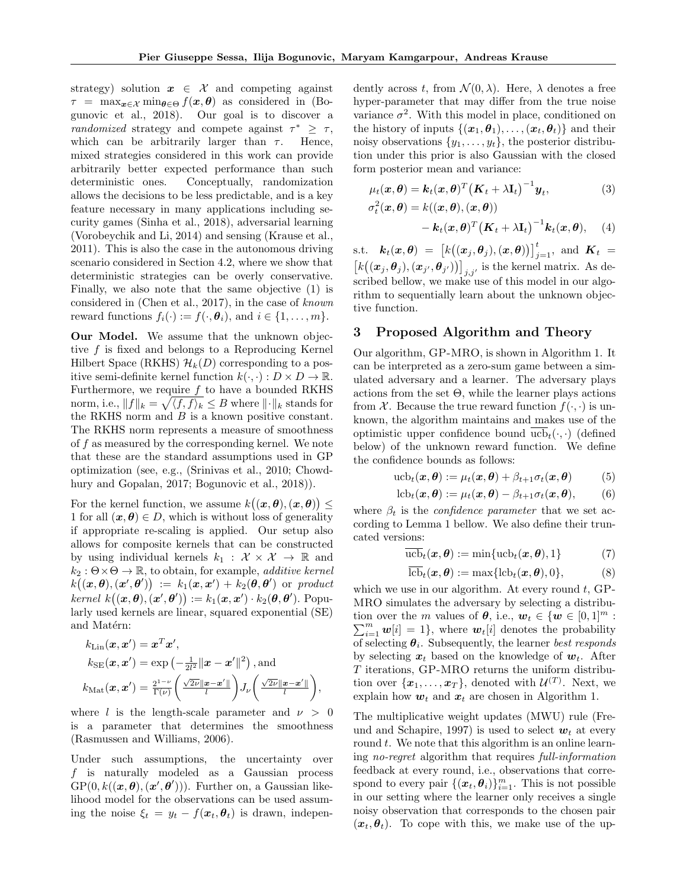strategy) solution  $x \in \mathcal{X}$  and competing against  $\tau = \max_{\boldsymbol{x} \in \mathcal{X}} \min_{\boldsymbol{\theta} \in \Theta} f(\boldsymbol{x}, \boldsymbol{\theta})$  as considered in (Bogunovic et al., 2018). Our goal is to discover a randomized strategy and compete against  $\tau^* \geq \tau$ , which can be arbitrarily larger than  $\tau$ . Hence, mixed strategies considered in this work can provide arbitrarily better expected performance than such deterministic ones. Conceptually, randomization allows the decisions to be less predictable, and is a key feature necessary in many applications including security games (Sinha et al., 2018), adversarial learning (Vorobeychik and Li, 2014) and sensing (Krause et al., 2011). This is also the case in the autonomous driving scenario considered in Section 4.2, where we show that deterministic strategies can be overly conservative. Finally, we also note that the same objective (1) is considered in (Chen et al., 2017), in the case of known reward functions  $f_i(\cdot) := f(\cdot, \boldsymbol{\theta}_i)$ , and  $i \in \{1, \ldots, m\}$ .

Our Model. We assume that the unknown objective f is fixed and belongs to a Reproducing Kernel Hilbert Space (RKHS)  $\mathcal{H}_k(D)$  corresponding to a positive semi-definite kernel function  $k(\cdot, \cdot) : D \times D \to \mathbb{R}$ . Furthermore, we require  $f$  to have a bounded RKHS norm, i.e.,  $||f||_k = \sqrt{\langle f, f \rangle_k} \leq B$  where  $||\cdot||_k$  stands for the RKHS norm and  $B$  is a known positive constant. The RKHS norm represents a measure of smoothness of  $f$  as measured by the corresponding kernel. We note that these are the standard assumptions used in GP optimization (see, e.g., (Srinivas et al., 2010; Chowdhury and Gopalan, 2017; Bogunovic et al., 2018)).

For the kernel function, we assume  $k((x, \theta), (x, \theta)) \leq$ 1 for all  $(\boldsymbol{x}, \boldsymbol{\theta}) \in D$ , which is without loss of generality if appropriate re-scaling is applied. Our setup also allows for composite kernels that can be constructed by using individual kernels  $k_1 : \mathcal{X} \times \mathcal{X} \rightarrow \mathbb{R}$  and  $k_2 : \Theta \times \Theta \to \mathbb{R}$ , to obtain, for example, *additive kernel*  $k\big((\boldsymbol{x},\boldsymbol{\theta}),(\boldsymbol{x}',\boldsymbol{\theta}')\big) \ := \ k_1(\boldsymbol{x},\boldsymbol{x}') + k_2(\boldsymbol{\theta},\boldsymbol{\theta}') \ \ \text{or} \ \ product$  $\text{kernel } k((\boldsymbol{x},\boldsymbol{\theta}),(\boldsymbol{x}',\boldsymbol{\theta}')) := k_1(\boldsymbol{x},\boldsymbol{x}') \cdot k_2(\boldsymbol{\theta},\boldsymbol{\theta}')$ . Popularly used kernels are linear, squared exponential (SE) and Matérn:

$$
k_{\text{Lin}}(\boldsymbol{x}, \boldsymbol{x}') = \boldsymbol{x}^T \boldsymbol{x}',
$$
  
\n
$$
k_{\text{SE}}(\boldsymbol{x}, \boldsymbol{x}') = \exp\left(-\frac{1}{2l^2} ||\boldsymbol{x} - \boldsymbol{x}'||^2\right), \text{and}
$$
  
\n
$$
k_{\text{Mat}}(\boldsymbol{x}, \boldsymbol{x}') = \frac{2^{1-\nu}}{\Gamma(\nu)} \left(\frac{\sqrt{2\nu} ||\boldsymbol{x} - \boldsymbol{x}'||}{l}\right) J_{\nu} \left(\frac{\sqrt{2\nu} ||\boldsymbol{x} - \boldsymbol{x}'||}{l}\right),
$$

where l is the length-scale parameter and  $\nu > 0$ is a parameter that determines the smoothness (Rasmussen and Williams, 2006).

Under such assumptions, the uncertainty over f is naturally modeled as a Gaussian process  $GP(0, k((\boldsymbol{x}, \boldsymbol{\theta}), (\boldsymbol{x}', \boldsymbol{\theta}')))$ . Further on, a Gaussian likelihood model for the observations can be used assuming the noise  $\xi_t = y_t - f(\boldsymbol{x}_t, \boldsymbol{\theta}_t)$  is drawn, independently across t, from  $\mathcal{N}(0, \lambda)$ . Here,  $\lambda$  denotes a free hyper-parameter that may differ from the true noise variance  $\sigma^2$ . With this model in place, conditioned on the history of inputs  $\{(\boldsymbol{x}_1,\boldsymbol{\theta}_1),\ldots,(\boldsymbol{x}_t,\boldsymbol{\theta}_t)\}\$  and their noisy observations  $\{y_1, \ldots, y_t\}$ , the posterior distribution under this prior is also Gaussian with the closed form posterior mean and variance:

$$
\mu_t(\mathbf{x}, \boldsymbol{\theta}) = \mathbf{k}_t(\mathbf{x}, \boldsymbol{\theta})^T (\mathbf{K}_t + \lambda \mathbf{I}_t)^{-1} \mathbf{y}_t, \n\sigma_t^2(\mathbf{x}, \boldsymbol{\theta}) = k((\mathbf{x}, \boldsymbol{\theta}), (\mathbf{x}, \boldsymbol{\theta}))
$$
\n(3)

$$
- \boldsymbol{k}_t(\boldsymbol{x}, \boldsymbol{\theta})^T \big(\boldsymbol{K}_t + \lambda \mathbf{I}_t\big)^{-1} \boldsymbol{k}_t(\boldsymbol{x}, \boldsymbol{\theta}), \quad (4)
$$

s.t.  $\boldsymbol{k}_t(\boldsymbol{x}, \boldsymbol{\theta}) = [k((\boldsymbol{x}_j, \boldsymbol{\theta}_j),(\boldsymbol{x}, \boldsymbol{\theta}))]_{j=1}^t$ , and  $\boldsymbol{K}_t =$  $\left[k((x_j,\theta_j),(x_{j'},\theta_{j'}))\right]_{j,j'}$  is the kernel matrix. As described bellow, we make use of this model in our algorithm to sequentially learn about the unknown objective function.

#### 3 Proposed Algorithm and Theory

Our algorithm, GP-MRO, is shown in Algorithm 1. It can be interpreted as a zero-sum game between a simulated adversary and a learner. The adversary plays actions from the set  $\Theta$ , while the learner plays actions from X. Because the true reward function  $f(\cdot, \cdot)$  is unknown, the algorithm maintains and makes use of the optimistic upper confidence bound  $ucb_t(\cdot, \cdot)$  (defined below) of the unknown reward function. We define the confidence bounds as follows:

$$
\mathrm{ucb}_{t}(\boldsymbol{x},\boldsymbol{\theta}) := \mu_{t}(\boldsymbol{x},\boldsymbol{\theta}) + \beta_{t+1}\sigma_{t}(\boldsymbol{x},\boldsymbol{\theta}) \tag{5}
$$

$$
lcbt(\boldsymbol{x},\boldsymbol{\theta}) := \mu_t(\boldsymbol{x},\boldsymbol{\theta}) - \beta_{t+1}\sigma_t(\boldsymbol{x},\boldsymbol{\theta}),
$$
 (6)

where  $\beta_t$  is the *confidence parameter* that we set according to Lemma 1 bellow. We also define their truncated versions:

$$
\overline{\text{ucb}}_t(\boldsymbol{x}, \boldsymbol{\theta}) := \min\{\text{ucb}_t(\boldsymbol{x}, \boldsymbol{\theta}), 1\} \tag{7}
$$

$$
\overline{\text{lcb}}_t(\boldsymbol{x},\boldsymbol{\theta}) := \max\{\text{lcb}_t(\boldsymbol{x},\boldsymbol{\theta}),0\},\tag{8}
$$

which we use in our algorithm. At every round  $t$ , GP-MRO simulates the adversary by selecting a distribution over the *m* values of  $\theta$ , i.e.,  $w_t \in \{w \in [0,1]^m :$ tion over the *m* values of  $\theta$ , i.e.,  $w_t \in \{w \in [0,1]^m : \sum_{i=1}^m w[i] = 1\}$ , where  $w_t[i]$  denotes the probability of selecting  $\theta_i$ . Subsequently, the learner *best responds* by selecting  $x_t$  based on the knowledge of  $w_t$ . After T iterations, GP-MRO returns the uniform distribution over  $\{x_1, \ldots, x_T\}$ , denoted with  $\mathcal{U}^{(T)}$ . Next, we explain how  $w_t$  and  $x_t$  are chosen in Algorithm 1.

The multiplicative weight updates (MWU) rule (Freund and Schapire, 1997) is used to select  $w_t$  at every round  $t$ . We note that this algorithm is an online learning no-regret algorithm that requires full-information feedback at every round, i.e., observations that correspond to every pair  $\{(\boldsymbol{x}_t, \boldsymbol{\theta}_i)\}_{i=1}^m$ . This is not possible in our setting where the learner only receives a single noisy observation that corresponds to the chosen pair  $(x_t, \theta_t)$ . To cope with this, we make use of the up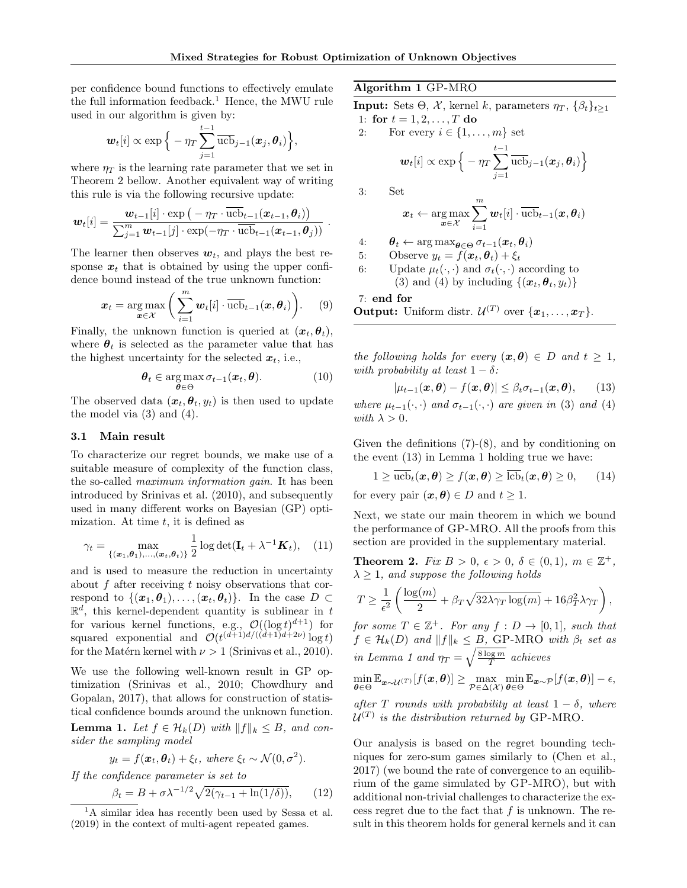per confidence bound functions to effectively emulate the full information feedback.<sup>1</sup> Hence, the MWU rule used in our algorithm is given by:

$$
\boldsymbol{w}_t[i] \propto \exp\Big\{-\eta_T\sum_{j=1}^{t-1}\overline{\mathrm{ucb}}_{j-1}(\boldsymbol{x}_j,\boldsymbol{\theta}_i)\Big\},\,
$$

where  $\eta_T$  is the learning rate parameter that we set in Theorem 2 bellow. Another equivalent way of writing this rule is via the following recursive update:

$$
\boldsymbol{w}_t[i] = \frac{\boldsymbol{w}_{t-1}[i] \cdot \exp\left(-\eta_T \cdot \overline{\mathrm{ucb}}_{t-1}(\boldsymbol{x}_{t-1}, \boldsymbol{\theta}_i)\right)}{\sum_{j=1}^m \boldsymbol{w}_{t-1}[j] \cdot \exp(-\eta_T \cdot \overline{\mathrm{ucb}}_{t-1}(\boldsymbol{x}_{t-1}, \boldsymbol{\theta}_j))}.
$$

The learner then observes  $w_t$ , and plays the best response  $x_t$  that is obtained by using the upper confidence bound instead of the true unknown function:

$$
\boldsymbol{x}_t = \argmax_{\boldsymbol{x} \in \mathcal{X}} \bigg( \sum_{i=1}^m \boldsymbol{w}_t[i] \cdot \overline{\text{ucb}}_{t-1}(\boldsymbol{x}, \boldsymbol{\theta}_i) \bigg). \qquad (9)
$$

Finally, the unknown function is queried at  $(x_t, \theta_t)$ , where  $\theta_t$  is selected as the parameter value that has the highest uncertainty for the selected  $x_t$ , i.e.,

$$
\boldsymbol{\theta}_t \in \argmax_{\boldsymbol{\theta} \in \Theta} \sigma_{t-1}(\boldsymbol{x}_t, \boldsymbol{\theta}). \tag{10}
$$

The observed data  $(x_t, \theta_t, y_t)$  is then used to update the model via (3) and (4).

#### 3.1 Main result

To characterize our regret bounds, we make use of a suitable measure of complexity of the function class, the so-called maximum information gain. It has been introduced by Srinivas et al. (2010), and subsequently used in many different works on Bayesian (GP) optimization. At time  $t$ , it is defined as

$$
\gamma_t = \max_{\{(\boldsymbol{x}_1, \boldsymbol{\theta}_1), \dots, (\boldsymbol{x}_t, \boldsymbol{\theta}_t)\}} \frac{1}{2} \log \det(\mathbf{I}_t + \lambda^{-1} \boldsymbol{K}_t), \quad (11)
$$

and is used to measure the reduction in uncertainty about  $f$  after receiving  $t$  noisy observations that correspond to  $\{(\boldsymbol{x}_1,\boldsymbol{\theta}_1),\ldots,(\boldsymbol{x}_t,\boldsymbol{\theta}_t)\}\$ . In the case  $D \subset$  $\mathbb{R}^d$ , this kernel-dependent quantity is sublinear in t for various kernel functions, e.g.,  $\mathcal{O}((\log t)^{d+1})$  for squared exponential and  $\mathcal{O}(t^{(d+1)d/((d+1)d+2\nu)}\log t)$ for the Matérn kernel with  $\nu > 1$  (Srinivas et al., 2010).

We use the following well-known result in GP optimization (Srinivas et al., 2010; Chowdhury and Gopalan, 2017), that allows for construction of statistical confidence bounds around the unknown function. **Lemma 1.** Let  $f \in \mathcal{H}_k(D)$  with  $||f||_k \leq B$ , and consider the sampling model

$$
y_t = f(\boldsymbol{x}_t, \boldsymbol{\theta}_t) + \xi_t
$$
, where  $\xi_t \sim \mathcal{N}(0, \sigma^2)$ .

If the confidence parameter is set to

$$
\beta_t = B + \sigma \lambda^{-1/2} \sqrt{2(\gamma_{t-1} + \ln(1/\delta))}, \qquad (12)
$$

Algorithm 1 GP-MRO

**Input:** Sets  $\Theta$ ,  $\mathcal{X}$ , kernel k, parameters  $\eta_T$ ,  $\{\beta_t\}_{t\geq 1}$ 1: for  $t = 1, 2, ..., T$  do

2: For every  $i \in \{1, \ldots, m\}$  set

$$
\boldsymbol{w}_t[i]\propto\exp\Big\{-\eta_T\sum_{j=1}^{t-1}\overline{\mathrm{ucb}}_{j-1}(\boldsymbol{x}_j,\boldsymbol{\theta}_i)\Big\}
$$

$$
3\mathrm{:}\qquad \ \ \, \mathrm{Set}
$$

$$
\boldsymbol{x}_t \leftarrow \argmax_{\boldsymbol{x} \in \mathcal{X}} \sum_{i=1}^m \boldsymbol{w}_t[i] \cdot \overline{\mathrm{ucb}}_{t-1}(\boldsymbol{x}, \boldsymbol{\theta}_i)
$$

4:  $\theta_t \leftarrow \arg \max_{\theta \in \Theta} \sigma_{t-1}(\boldsymbol{x}_t, \boldsymbol{\theta}_i)$ 

5: Observe  $y_t = f(\boldsymbol{x}_t, \boldsymbol{\theta}_t) + \xi_t$ 

6: Update 
$$
\mu_t(\cdot, \cdot)
$$
 and  $\sigma_t(\cdot, \cdot)$  according to  
(3) and (4) by including  $\{(\boldsymbol{x}_t, \boldsymbol{\theta}_t, y_t)\}$ 

7: end for  
Output: Uniform distr. 
$$
U^{(T)}
$$
 over  $\{x_1, ..., x_T\}$ .

the following holds for every  $(\boldsymbol{x}, \boldsymbol{\theta}) \in D$  and  $t \geq 1$ , with probability at least  $1 - \delta$ :

$$
|\mu_{t-1}(\boldsymbol{x},\boldsymbol{\theta}) - f(\boldsymbol{x},\boldsymbol{\theta})| \leq \beta_t \sigma_{t-1}(\boldsymbol{x},\boldsymbol{\theta}), \qquad (13)
$$

where  $\mu_{t-1}(\cdot, \cdot)$  and  $\sigma_{t-1}(\cdot, \cdot)$  are given in (3) and (4) with  $\lambda > 0$ .

Given the definitions  $(7)-(8)$ , and by conditioning on the event (13) in Lemma 1 holding true we have:

$$
1 \geq \overline{\text{ucb}}_t(\boldsymbol{x}, \boldsymbol{\theta}) \geq f(\boldsymbol{x}, \boldsymbol{\theta}) \geq \overline{\text{lcb}}_t(\boldsymbol{x}, \boldsymbol{\theta}) \geq 0, \qquad (14)
$$

for every pair  $(\boldsymbol{x}, \boldsymbol{\theta}) \in D$  and  $t \geq 1$ .

Next, we state our main theorem in which we bound the performance of GP-MRO. All the proofs from this section are provided in the supplementary material.

**Theorem 2.** Fix  $B > 0$ ,  $\epsilon > 0$ ,  $\delta \in (0,1)$ ,  $m \in \mathbb{Z}^+$ ,  $\lambda \geq 1$ , and suppose the following holds

$$
T \ge \frac{1}{\epsilon^2} \left( \frac{\log(m)}{2} + \beta_T \sqrt{32\lambda \gamma_T \log(m)} + 16\beta_T^2 \lambda \gamma_T \right),
$$

for some  $T \in \mathbb{Z}^+$ . For any  $f: D \to [0,1]$ , such that  $f \in \mathcal{H}_k(D)$  and  $||f||_k \leq B$ , GP-MRO with  $\beta_t$  set as in Lemma 1 and  $\eta_T = \sqrt{\frac{8 \log m}{T}}$  achieves

$$
\min_{\boldsymbol{\theta}\in\Theta} \mathbb{E}_{\boldsymbol{x}\sim\mathcal{U}^{(T)}}[f(\boldsymbol{x},\boldsymbol{\theta})] \geq \max_{\mathcal{P}\in\Delta(\mathcal{X})} \min_{\boldsymbol{\theta}\in\Theta} \mathbb{E}_{\boldsymbol{x}\sim\mathcal{P}}[f(\boldsymbol{x},\boldsymbol{\theta})] - \epsilon,
$$

after T rounds with probability at least  $1 - \delta$ , where  $\mathcal{U}^{(T)}$  is the distribution returned by GP-MRO.

Our analysis is based on the regret bounding techniques for zero-sum games similarly to (Chen et al., 2017) (we bound the rate of convergence to an equilibrium of the game simulated by GP-MRO), but with additional non-trivial challenges to characterize the excess regret due to the fact that  $f$  is unknown. The result in this theorem holds for general kernels and it can

<sup>&</sup>lt;sup>1</sup>A similar idea has recently been used by Sessa et al. (2019) in the context of multi-agent repeated games.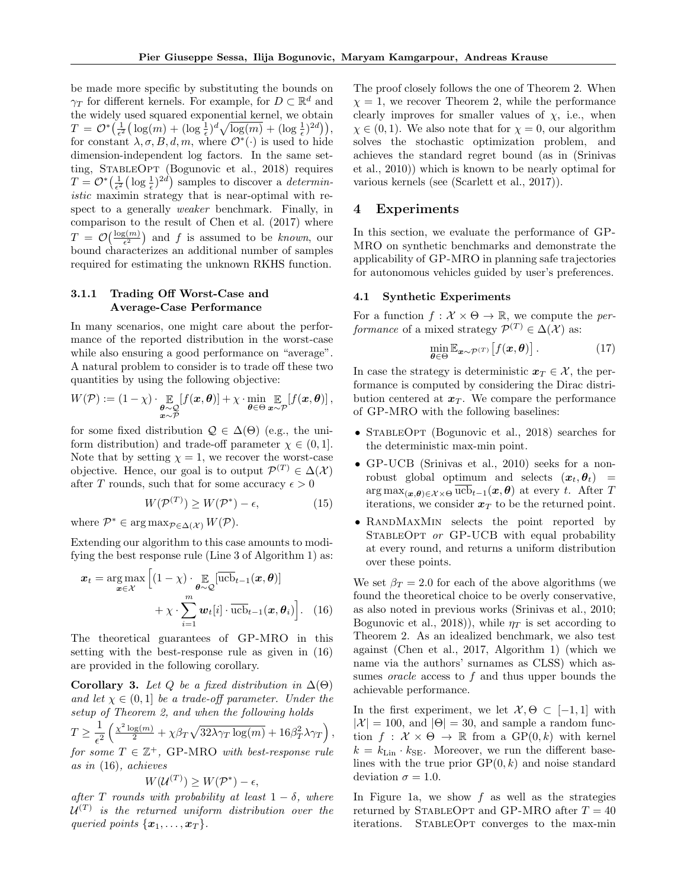be made more specific by substituting the bounds on  $\gamma_T$  for different kernels. For example, for  $D \subset \mathbb{R}^d$  and the widely used squared exponential kernel, we obtain  $T = \mathcal{O}^*\left(\frac{1}{\epsilon^2}\left(\log(m) + (\log \frac{1}{\epsilon})^d \sqrt{\log(m)} + (\log \frac{1}{\epsilon})^{2d}\right)\right),$ for constant  $\lambda, \sigma, B, d, m$ , where  $\mathcal{O}^*(\cdot)$  is used to hide dimension-independent log factors. In the same setting, StableOpt (Bogunovic et al., 2018) requires  $T = \mathcal{O}^*\left(\frac{1}{\epsilon^2} \left(\log \frac{1}{\epsilon}\right)^{2d}\right)$  samples to discover a *determin*istic maximin strategy that is near-optimal with respect to a generally weaker benchmark. Finally, in comparison to the result of Chen et al. (2017) where  $T = \mathcal{O}\left(\frac{\log(m)}{\epsilon^2}\right)$  and f is assumed to be known, our bound characterizes an additional number of samples required for estimating the unknown RKHS function.

#### 3.1.1 Trading Off Worst-Case and Average-Case Performance

In many scenarios, one might care about the performance of the reported distribution in the worst-case while also ensuring a good performance on "average". A natural problem to consider is to trade off these two quantities by using the following objective:

$$
W(\mathcal{P}) := (1 - \chi) \cdot \mathop{\mathbb{E}}_{\substack{\boldsymbol{\theta} \sim \mathcal{Q} \\ \boldsymbol{x} \sim \mathcal{P}}} [f(\boldsymbol{x}, \boldsymbol{\theta})] + \chi \cdot \min_{\boldsymbol{\theta} \in \Theta} \mathop{\mathbb{E}}_{\boldsymbol{x} \sim \mathcal{P}} [f(\boldsymbol{x}, \boldsymbol{\theta})],
$$

for some fixed distribution  $\mathcal{Q} \in \Delta(\Theta)$  (e.g., the uniform distribution) and trade-off parameter  $\chi \in (0,1]$ . Note that by setting  $\chi = 1$ , we recover the worst-case objective. Hence, our goal is to output  $\mathcal{P}^{(T)} \in \Delta(\mathcal{X})$ after T rounds, such that for some accuracy  $\epsilon > 0$ 

$$
W(\mathcal{P}^{(T)}) \ge W(\mathcal{P}^*) - \epsilon,\tag{15}
$$

where  $\mathcal{P}^* \in \arg \max_{\mathcal{P} \in \Delta(\mathcal{X})} W(\mathcal{P}).$ 

Extending our algorithm to this case amounts to modifying the best response rule (Line 3 of Algorithm 1) as:

$$
\boldsymbol{x}_{t} = \underset{\boldsymbol{x} \in \mathcal{X}}{\arg \max} \left[ (1 - \chi) \cdot \underset{\boldsymbol{\theta} \sim \mathcal{Q}}{\mathbb{E}} \left[ \overline{\text{ucb}}_{t-1}(\boldsymbol{x}, \boldsymbol{\theta}) \right] + \chi \cdot \sum_{i=1}^{m} \boldsymbol{w}_{t}[i] \cdot \overline{\text{ucb}}_{t-1}(\boldsymbol{x}, \boldsymbol{\theta}_{i}) \right]. \tag{16}
$$

The theoretical guarantees of GP-MRO in this setting with the best-response rule as given in (16) are provided in the following corollary.

Corollary 3. Let Q be a fixed distribution in  $\Delta(\Theta)$ and let  $\chi \in (0, 1]$  be a trade-off parameter. Under the setup of Theorem 2, and when the following holds

$$
T \ge \frac{1}{\epsilon^2} \left( \frac{\chi^2 \log(m)}{2} + \chi \beta_T \sqrt{32\lambda \gamma_T \log(m)} + 16\beta_T^2 \lambda \gamma_T \right),
$$

for some  $T \in \mathbb{Z}^+$ , GP-MRO with best-response rule as in (16), achieves

$$
W(\mathcal{U}^{(T)}) \geq W(\mathcal{P}^*) - \epsilon,
$$

after T rounds with probability at least  $1 - \delta$ , where  $\mathcal{U}^{(T)}$  is the returned uniform distribution over the queried points  $\{x_1, \ldots, x_T\}$ .

The proof closely follows the one of Theorem 2. When  $\chi = 1$ , we recover Theorem 2, while the performance clearly improves for smaller values of  $\chi$ , i.e., when  $\chi \in (0,1)$ . We also note that for  $\chi = 0$ , our algorithm solves the stochastic optimization problem, and achieves the standard regret bound (as in (Srinivas et al., 2010)) which is known to be nearly optimal for various kernels (see (Scarlett et al., 2017)).

# 4 Experiments

In this section, we evaluate the performance of GP-MRO on synthetic benchmarks and demonstrate the applicability of GP-MRO in planning safe trajectories for autonomous vehicles guided by user's preferences.

#### 4.1 Synthetic Experiments

For a function  $f: \mathcal{X} \times \Theta \to \mathbb{R}$ , we compute the performance of a mixed strategy  $\mathcal{P}^{(T)} \in \Delta(\mathcal{X})$  as:

$$
\min_{\boldsymbol{\theta} \in \Theta} \mathbb{E}_{\boldsymbol{x} \sim \mathcal{P}^{(T)}} \left[ f(\boldsymbol{x}, \boldsymbol{\theta}) \right]. \tag{17}
$$

In case the strategy is deterministic  $x_T \in \mathcal{X}$ , the performance is computed by considering the Dirac distribution centered at  $x_T$ . We compare the performance of GP-MRO with the following baselines:

- STABLEOPT (Bogunovic et al., 2018) searches for the deterministic max-min point.
- GP-UCB (Srinivas et al., 2010) seeks for a nonrobust global optimum and selects  $(x_t, \theta_t)$  =  $\arg \max_{(\bm{x},\bm{\theta})\in\mathcal{X}\times\Theta}\text{ucb}_{t-1}(\bm{x},\bm{\theta})$  at every t. After T iterations, we consider  $x_T$  to be the returned point.
- RandMaxMin selects the point reported by STABLEOPT or GP-UCB with equal probability at every round, and returns a uniform distribution over these points.

We set  $\beta_T = 2.0$  for each of the above algorithms (we found the theoretical choice to be overly conservative, as also noted in previous works (Srinivas et al., 2010; Bogunovic et al., 2018), while  $\eta_T$  is set according to Theorem 2. As an idealized benchmark, we also test against (Chen et al., 2017, Algorithm 1) (which we name via the authors' surnames as CLSS) which assumes *oracle* access to  $f$  and thus upper bounds the achievable performance.

In the first experiment, we let  $\mathcal{X}, \Theta \subset [-1,1]$  with  $|\mathcal{X}| = 100$ , and  $|\Theta| = 30$ , and sample a random function  $f: \mathcal{X} \times \Theta \rightarrow \mathbb{R}$  from a  $\text{GP}(0, k)$  with kernel  $k = k_{\text{Lin}} \cdot k_{\text{SE}}$ . Moreover, we run the different baselines with the true prior  $\text{GP}(0, k)$  and noise standard deviation  $\sigma = 1.0$ .

In Figure 1a, we show  $f$  as well as the strategies returned by STABLEOPT and GP-MRO after  $T = 40$ iterations. StableOpt converges to the max-min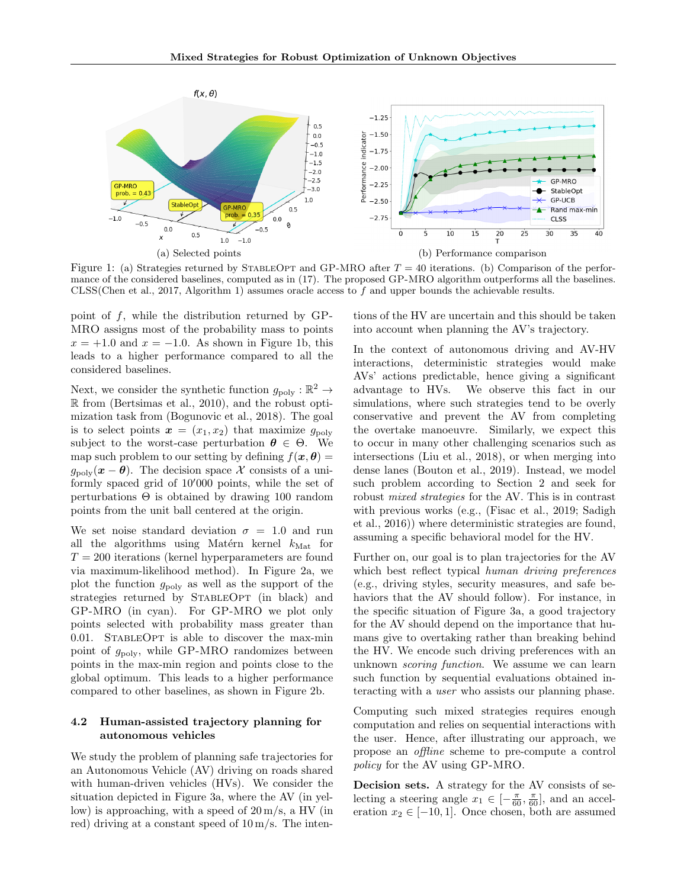

Figure 1: (a) Strategies returned by STABLEOPT and GP-MRO after  $T = 40$  iterations. (b) Comparison of the performance of the considered baselines, computed as in (17). The proposed GP-MRO algorithm outperforms all the baselines. CLSS(Chen et al., 2017, Algorithm 1) assumes oracle access to  $f$  and upper bounds the achievable results.

point of  $f$ , while the distribution returned by GP-MRO assigns most of the probability mass to points  $x = +1.0$  and  $x = -1.0$ . As shown in Figure 1b, this leads to a higher performance compared to all the considered baselines.

Next, we consider the synthetic function  $g_{\text{poly}} : \mathbb{R}^2 \to$ R from (Bertsimas et al., 2010), and the robust optimization task from (Bogunovic et al., 2018). The goal is to select points  $x = (x_1, x_2)$  that maximize  $g_{\text{poly}}$ subject to the worst-case perturbation  $\theta \in \Theta$ . We map such problem to our setting by defining  $f(\boldsymbol{x}, \boldsymbol{\theta}) =$  $g_{\text{poly}}(x - \theta)$ . The decision space X consists of a uniformly spaced grid of  $10'000$  points, while the set of perturbations  $\Theta$  is obtained by drawing 100 random points from the unit ball centered at the origin.

We set noise standard deviation  $\sigma = 1.0$  and run all the algorithms using Matérn kernel  $k_{\text{Mat}}$  for  $T = 200$  iterations (kernel hyperparameters are found via maximum-likelihood method). In Figure 2a, we plot the function  $g_{\text{poly}}$  as well as the support of the strategies returned by STABLEOPT (in black) and GP-MRO (in cyan). For GP-MRO we plot only points selected with probability mass greater than 0.01. StableOpt is able to discover the max-min point of  $g_{\text{poly}}$ , while GP-MRO randomizes between points in the max-min region and points close to the global optimum. This leads to a higher performance compared to other baselines, as shown in Figure 2b.

#### 4.2 Human-assisted trajectory planning for autonomous vehicles

We study the problem of planning safe trajectories for an Autonomous Vehicle (AV) driving on roads shared with human-driven vehicles (HVs). We consider the situation depicted in Figure 3a, where the AV (in yellow) is approaching, with a speed of  $20 \,\mathrm{m/s}$ , a HV (in red) driving at a constant speed of 10 m/s. The inten-

tions of the HV are uncertain and this should be taken into account when planning the AV's trajectory.

In the context of autonomous driving and AV-HV interactions, deterministic strategies would make AVs' actions predictable, hence giving a significant advantage to HVs. We observe this fact in our simulations, where such strategies tend to be overly conservative and prevent the AV from completing the overtake manoeuvre. Similarly, we expect this to occur in many other challenging scenarios such as intersections (Liu et al., 2018), or when merging into dense lanes (Bouton et al., 2019). Instead, we model such problem according to Section 2 and seek for robust mixed strategies for the AV. This is in contrast with previous works (e.g., (Fisac et al., 2019; Sadigh et al., 2016)) where deterministic strategies are found, assuming a specific behavioral model for the HV.

Further on, our goal is to plan trajectories for the AV which best reflect typical human driving preferences (e.g., driving styles, security measures, and safe behaviors that the AV should follow). For instance, in the specific situation of Figure 3a, a good trajectory for the AV should depend on the importance that humans give to overtaking rather than breaking behind the HV. We encode such driving preferences with an unknown scoring function. We assume we can learn such function by sequential evaluations obtained interacting with a user who assists our planning phase.

Computing such mixed strategies requires enough computation and relies on sequential interactions with the user. Hence, after illustrating our approach, we propose an offline scheme to pre-compute a control policy for the AV using GP-MRO.

Decision sets. A strategy for the AV consists of selecting a steering angle  $x_1 \in \left[-\frac{\pi}{60}, \frac{\pi}{60}\right]$ , and an acceleration  $x_2 \in [-10, 1]$ . Once chosen, both are assumed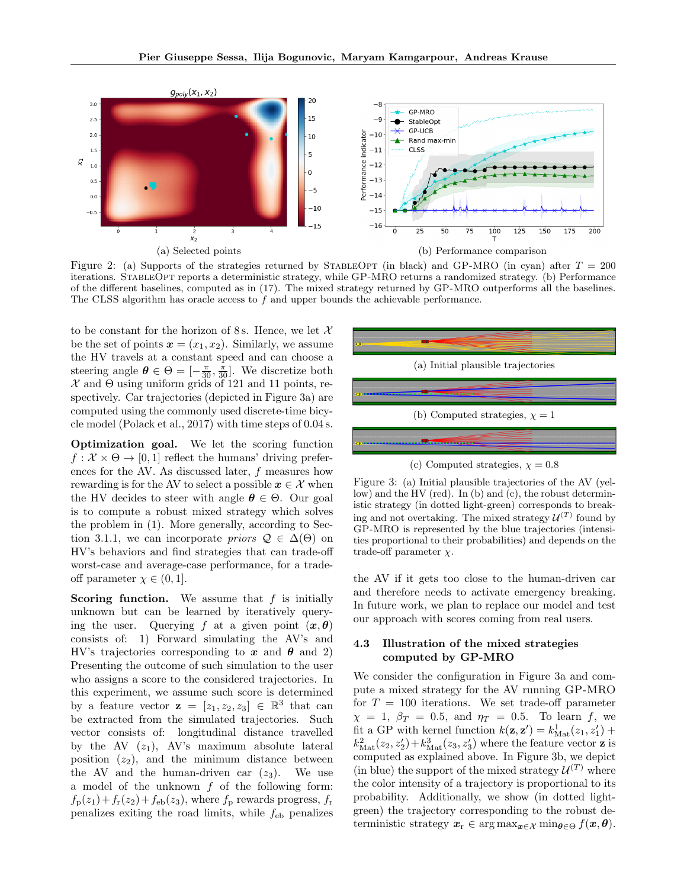

Figure 2: (a) Supports of the strategies returned by STABLEOPT (in black) and GP-MRO (in cyan) after  $T = 200$ iterations. StableOpt reports a deterministic strategy, while GP-MRO returns a randomized strategy. (b) Performance of the different baselines, computed as in (17). The mixed strategy returned by GP-MRO outperforms all the baselines. The CLSS algorithm has oracle access to  $f$  and upper bounds the achievable performance.

to be constant for the horizon of 8 s. Hence, we let  $\mathcal{X}$ be the set of points  $x = (x_1, x_2)$ . Similarly, we assume the HV travels at a constant speed and can choose a steering angle  $\theta \in \Theta = \left[-\frac{\pi}{30}, \frac{\pi}{30}\right]$ . We discretize both  $\mathcal X$  and  $\Theta$  using uniform grids of 121 and 11 points, respectively. Car trajectories (depicted in Figure 3a) are computed using the commonly used discrete-time bicycle model (Polack et al., 2017) with time steps of 0.04 s.

Optimization goal. We let the scoring function  $f: \mathcal{X} \times \Theta \rightarrow [0, 1]$  reflect the humans' driving preferences for the AV. As discussed later, f measures how rewarding is for the AV to select a possible  $x \in \mathcal{X}$  when the HV decides to steer with angle  $\theta \in \Theta$ . Our goal is to compute a robust mixed strategy which solves the problem in (1). More generally, according to Section 3.1.1, we can incorporate *priors*  $\mathcal{Q} \in \Delta(\Theta)$  on HV's behaviors and find strategies that can trade-off worst-case and average-case performance, for a tradeoff parameter  $\chi \in (0,1]$ .

**Scoring function.** We assume that  $f$  is initially unknown but can be learned by iteratively querying the user. Querying f at a given point  $(x, \theta)$ consists of: 1) Forward simulating the AV's and HV's trajectories corresponding to x and  $\theta$  and 2) Presenting the outcome of such simulation to the user who assigns a score to the considered trajectories. In this experiment, we assume such score is determined by a feature vector  $z = [z_1, z_2, z_3] \in \mathbb{R}^3$  that can be extracted from the simulated trajectories. Such vector consists of: longitudinal distance travelled by the AV  $(z_1)$ , AV's maximum absolute lateral position  $(z_2)$ , and the minimum distance between the AV and the human-driven car  $(z_3)$ . We use a model of the unknown  $f$  of the following form:  $f_{\rm p}(z_1)+f_{\rm r}(z_2)+f_{\rm eb}(z_3)$ , where  $f_{\rm p}$  rewards progress,  $f_{\rm r}$ penalizes exiting the road limits, while  $f_{eb}$  penalizes



Figure 3: (a) Initial plausible trajectories of the AV (yellow) and the HV (red). In (b) and (c), the robust deterministic strategy (in dotted light-green) corresponds to breaking and not overtaking. The mixed strategy  $\mathcal{U}^{(T)}$  found by GP-MRO is represented by the blue trajectories (intensities proportional to their probabilities) and depends on the trade-off parameter  $\chi$ .

the AV if it gets too close to the human-driven car and therefore needs to activate emergency breaking. In future work, we plan to replace our model and test our approach with scores coming from real users.

#### 4.3 Illustration of the mixed strategies computed by GP-MRO

We consider the configuration in Figure 3a and compute a mixed strategy for the AV running GP-MRO for  $T = 100$  iterations. We set trade-off parameter  $\chi = 1, \beta_T = 0.5, \text{ and } \eta_T = 0.5.$  To learn f, we fit a GP with kernel function  $k(\mathbf{z}, \mathbf{z}') = k_{\text{Mat}}^1(z_1, z'_1) +$  $k_{\text{Mat}}^2(z_2, z_2') + k_{\text{Mat}}^3(z_3, z_3')$  where the feature vector **z** is computed as explained above. In Figure 3b, we depict (in blue) the support of the mixed strategy  $\mathcal{U}^{(T)}$  where the color intensity of a trajectory is proportional to its probability. Additionally, we show (in dotted lightgreen) the trajectory corresponding to the robust deterministic strategy  $x_r \in \arg \max_{\boldsymbol{x} \in \mathcal{X}} \min_{\boldsymbol{\theta} \in \Theta} f(\boldsymbol{x}, \boldsymbol{\theta}).$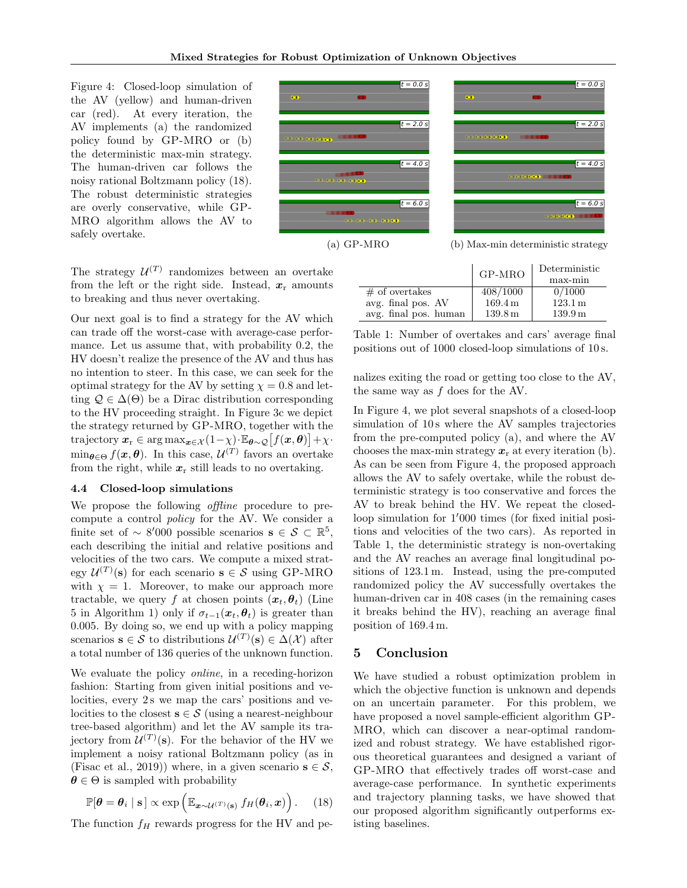Figure 4: Closed-loop simulation of the AV (yellow) and human-driven car (red). At every iteration, the AV implements (a) the randomized policy found by GP-MRO or (b) the deterministic max-min strategy. The human-driven car follows the noisy rational Boltzmann policy (18). The robust deterministic strategies are overly conservative, while GP-MRO algorithm allows the AV to safely overtake.





 $t = 0.0 s$ 

(a) GP-MRO (b) Max-min deterministic strategy

The strategy  $\mathcal{U}^{(T)}$  randomizes between an overtake from the left or the right side. Instead,  $x_r$  amounts to breaking and thus never overtaking.

Our next goal is to find a strategy for the AV which can trade off the worst-case with average-case performance. Let us assume that, with probability 0.2, the HV doesn't realize the presence of the AV and thus has no intention to steer. In this case, we can seek for the optimal strategy for the AV by setting  $\chi = 0.8$  and letting  $\mathcal{Q} \in \Delta(\Theta)$  be a Dirac distribution corresponding to the HV proceeding straight. In Figure 3c we depict the strategy returned by GP-MRO, together with the trajectory  $\mathbf{x}_{r} \in \arg \max_{\mathbf{x} \in \mathcal{X}} (1 - \chi) \cdot \mathbb{E}_{\boldsymbol{\theta} \sim \mathcal{Q}} [f(\mathbf{x}, \boldsymbol{\theta})] + \chi \cdot$  $\min_{\theta \in \Theta} f(\boldsymbol{x}, \boldsymbol{\theta})$ . In this case,  $\mathcal{U}^{(T)}$  favors an overtake from the right, while  $x_r$  still leads to no overtaking.

#### 4.4 Closed-loop simulations

We propose the following *offline* procedure to precompute a control policy for the AV. We consider a finite set of ~ 8'000 possible scenarios  $\mathbf{s} \in \mathcal{S} \subset \mathbb{R}^5$ , each describing the initial and relative positions and velocities of the two cars. We compute a mixed strategy  $\mathcal{U}^{(T)}(\mathbf{s})$  for each scenario  $\mathbf{s} \in \mathcal{S}$  using GP-MRO with  $\chi = 1$ . Moreover, to make our approach more tractable, we query f at chosen points  $(x_t, \theta_t)$  (Line 5 in Algorithm 1) only if  $\sigma_{t-1}(x_t, \theta_t)$  is greater than 0.005. By doing so, we end up with a policy mapping scenarios  $\mathbf{s} \in \mathcal{S}$  to distributions  $\mathcal{U}^{(T)}(\mathbf{s}) \in \Delta(\mathcal{X})$  after a total number of 136 queries of the unknown function.

We evaluate the policy *online*, in a receding-horizon fashion: Starting from given initial positions and velocities, every 2s we map the cars' positions and velocities to the closest  $s \in \mathcal{S}$  (using a nearest-neighbour tree-based algorithm) and let the AV sample its trajectory from  $\mathcal{U}^{(T)}(\mathbf{s})$ . For the behavior of the HV we implement a noisy rational Boltzmann policy (as in (Fisac et al., 2019)) where, in a given scenario  $s \in \mathcal{S}$ ,  $\theta \in \Theta$  is sampled with probability

$$
\mathbb{P}[\boldsymbol{\theta} = \boldsymbol{\theta}_i \mid \mathbf{s}] \propto \exp\left(\mathbb{E}_{\boldsymbol{x} \sim \mathcal{U}^{(T)}(\mathbf{s})} f_H(\boldsymbol{\theta}_i, \boldsymbol{x})\right). \quad (18)
$$

The function  $f_H$  rewards progress for the HV and pe-

|                       | GP-MRO   | Deterministic<br>max-min |
|-----------------------|----------|--------------------------|
| $\#$ of overtakes     | 408/1000 | 0/1000                   |
| avg. final pos. AV    | 169.4 m  | 123.1 m                  |
| avg. final pos. human | 139.8 m  | 139.9 <sub>m</sub>       |

 $\overline{\mathbf{CD}}$ 

Table 1: Number of overtakes and cars' average final positions out of 1000 closed-loop simulations of 10 s.

nalizes exiting the road or getting too close to the AV, the same way as f does for the AV.

In Figure 4, we plot several snapshots of a closed-loop simulation of 10s where the AV samples trajectories from the pre-computed policy (a), and where the AV chooses the max-min strategy  $x_r$  at every iteration (b). As can be seen from Figure 4, the proposed approach allows the AV to safely overtake, while the robust deterministic strategy is too conservative and forces the AV to break behind the HV. We repeat the closedloop simulation for  $1'000$  times (for fixed initial positions and velocities of the two cars). As reported in Table 1, the deterministic strategy is non-overtaking and the AV reaches an average final longitudinal positions of 123.1 m. Instead, using the pre-computed randomized policy the AV successfully overtakes the human-driven car in 408 cases (in the remaining cases it breaks behind the HV), reaching an average final position of 169.4 m.

#### 5 Conclusion

We have studied a robust optimization problem in which the objective function is unknown and depends on an uncertain parameter. For this problem, we have proposed a novel sample-efficient algorithm GP-MRO, which can discover a near-optimal randomized and robust strategy. We have established rigorous theoretical guarantees and designed a variant of GP-MRO that effectively trades off worst-case and average-case performance. In synthetic experiments and trajectory planning tasks, we have showed that our proposed algorithm significantly outperforms existing baselines.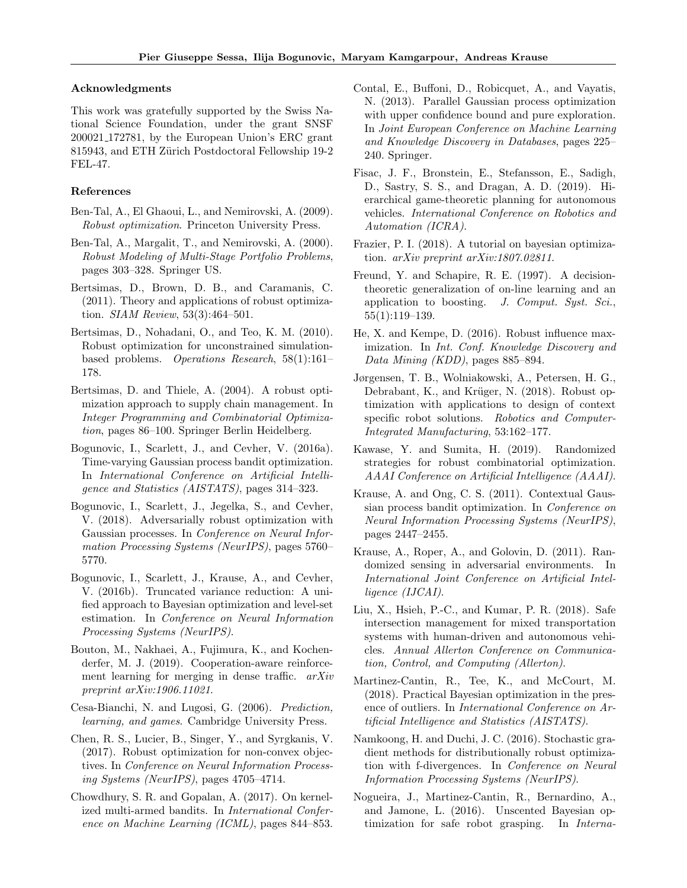#### Acknowledgments

This work was gratefully supported by the Swiss National Science Foundation, under the grant SNSF 200021 172781, by the European Union's ERC grant 815943, and ETH Zürich Postdoctoral Fellowship 19-2 FEL-47.

#### References

- Ben-Tal, A., El Ghaoui, L., and Nemirovski, A. (2009). Robust optimization. Princeton University Press.
- Ben-Tal, A., Margalit, T., and Nemirovski, A. (2000). Robust Modeling of Multi-Stage Portfolio Problems, pages 303–328. Springer US.
- Bertsimas, D., Brown, D. B., and Caramanis, C. (2011). Theory and applications of robust optimization. SIAM Review, 53(3):464–501.
- Bertsimas, D., Nohadani, O., and Teo, K. M. (2010). Robust optimization for unconstrained simulationbased problems. Operations Research, 58(1):161– 178.
- Bertsimas, D. and Thiele, A. (2004). A robust optimization approach to supply chain management. In Integer Programming and Combinatorial Optimization, pages 86–100. Springer Berlin Heidelberg.
- Bogunovic, I., Scarlett, J., and Cevher, V. (2016a). Time-varying Gaussian process bandit optimization. In International Conference on Artificial Intelligence and Statistics (AISTATS), pages 314–323.
- Bogunovic, I., Scarlett, J., Jegelka, S., and Cevher, V. (2018). Adversarially robust optimization with Gaussian processes. In Conference on Neural Information Processing Systems (NeurIPS), pages 5760– 5770.
- Bogunovic, I., Scarlett, J., Krause, A., and Cevher, V. (2016b). Truncated variance reduction: A unified approach to Bayesian optimization and level-set estimation. In Conference on Neural Information Processing Systems (NeurIPS).
- Bouton, M., Nakhaei, A., Fujimura, K., and Kochenderfer, M. J. (2019). Cooperation-aware reinforcement learning for merging in dense traffic.  $arXiv$ preprint arXiv:1906.11021.
- Cesa-Bianchi, N. and Lugosi, G. (2006). Prediction, learning, and games. Cambridge University Press.
- Chen, R. S., Lucier, B., Singer, Y., and Syrgkanis, V. (2017). Robust optimization for non-convex objectives. In Conference on Neural Information Processing Systems (NeurIPS), pages 4705–4714.
- Chowdhury, S. R. and Gopalan, A. (2017). On kernelized multi-armed bandits. In International Conference on Machine Learning (ICML), pages 844–853.
- Contal, E., Buffoni, D., Robicquet, A., and Vayatis, N. (2013). Parallel Gaussian process optimization with upper confidence bound and pure exploration. In Joint European Conference on Machine Learning and Knowledge Discovery in Databases, pages 225– 240. Springer.
- Fisac, J. F., Bronstein, E., Stefansson, E., Sadigh, D., Sastry, S. S., and Dragan, A. D. (2019). Hierarchical game-theoretic planning for autonomous vehicles. International Conference on Robotics and Automation (ICRA).
- Frazier, P. I. (2018). A tutorial on bayesian optimization. arXiv preprint arXiv:1807.02811.
- Freund, Y. and Schapire, R. E. (1997). A decisiontheoretic generalization of on-line learning and an application to boosting. J. Comput. Syst. Sci., 55(1):119–139.
- He, X. and Kempe, D. (2016). Robust influence maximization. In Int. Conf. Knowledge Discovery and Data Mining (KDD), pages 885–894.
- Jørgensen, T. B., Wolniakowski, A., Petersen, H. G., Debrabant, K., and Krüger, N. (2018). Robust optimization with applications to design of context specific robot solutions. Robotics and Computer-Integrated Manufacturing, 53:162–177.
- Kawase, Y. and Sumita, H. (2019). Randomized strategies for robust combinatorial optimization. AAAI Conference on Artificial Intelligence (AAAI).
- Krause, A. and Ong, C. S. (2011). Contextual Gaussian process bandit optimization. In Conference on Neural Information Processing Systems (NeurIPS), pages 2447–2455.
- Krause, A., Roper, A., and Golovin, D. (2011). Randomized sensing in adversarial environments. In International Joint Conference on Artificial Intelligence (IJCAI).
- Liu, X., Hsieh, P.-C., and Kumar, P. R. (2018). Safe intersection management for mixed transportation systems with human-driven and autonomous vehicles. Annual Allerton Conference on Communication, Control, and Computing (Allerton).
- Martinez-Cantin, R., Tee, K., and McCourt, M. (2018). Practical Bayesian optimization in the presence of outliers. In International Conference on Artificial Intelligence and Statistics (AISTATS).
- Namkoong, H. and Duchi, J. C. (2016). Stochastic gradient methods for distributionally robust optimization with f-divergences. In Conference on Neural Information Processing Systems (NeurIPS).
- Nogueira, J., Martinez-Cantin, R., Bernardino, A., and Jamone, L. (2016). Unscented Bayesian optimization for safe robot grasping. In Interna-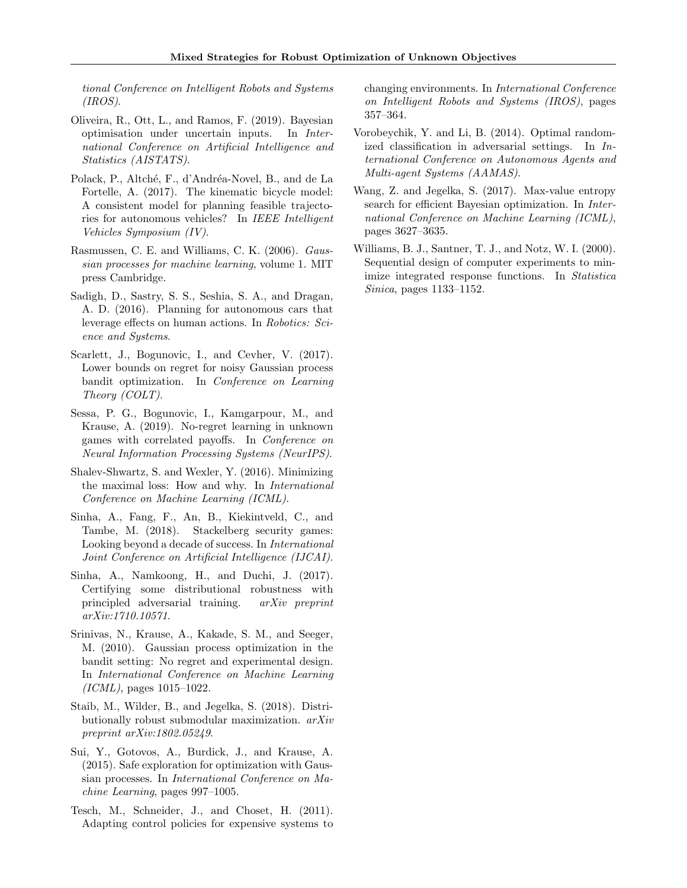tional Conference on Intelligent Robots and Systems  $(IROS).$ 

- Oliveira, R., Ott, L., and Ramos, F. (2019). Bayesian optimisation under uncertain inputs. In International Conference on Artificial Intelligence and Statistics (AISTATS).
- Polack, P., Altché, F., d'Andréa-Novel, B., and de La Fortelle, A. (2017). The kinematic bicycle model: A consistent model for planning feasible trajectories for autonomous vehicles? In IEEE Intelligent Vehicles Symposium (IV).
- Rasmussen, C. E. and Williams, C. K. (2006). Gaussian processes for machine learning, volume 1. MIT press Cambridge.
- Sadigh, D., Sastry, S. S., Seshia, S. A., and Dragan, A. D. (2016). Planning for autonomous cars that leverage effects on human actions. In Robotics: Science and Systems.
- Scarlett, J., Bogunovic, I., and Cevher, V.  $(2017)$ . Lower bounds on regret for noisy Gaussian process bandit optimization. In Conference on Learning Theory (COLT).
- Sessa, P. G., Bogunovic, I., Kamgarpour, M., and Krause, A. (2019). No-regret learning in unknown games with correlated payoffs. In Conference on Neural Information Processing Systems (NeurIPS).
- Shalev-Shwartz, S. and Wexler, Y. (2016). Minimizing the maximal loss: How and why. In International Conference on Machine Learning (ICML).
- Sinha, A., Fang, F., An, B., Kiekintveld, C., and Tambe, M. (2018). Stackelberg security games: Looking beyond a decade of success. In International Joint Conference on Artificial Intelligence (IJCAI).
- Sinha, A., Namkoong, H., and Duchi, J. (2017). Certifying some distributional robustness with principled adversarial training. arXiv preprint arXiv:1710.10571.
- Srinivas, N., Krause, A., Kakade, S. M., and Seeger, M. (2010). Gaussian process optimization in the bandit setting: No regret and experimental design. In International Conference on Machine Learning  $(ICML)$ , pages 1015–1022.
- Staib, M., Wilder, B., and Jegelka, S. (2018). Distributionally robust submodular maximization. arXiv preprint arXiv:1802.05249.
- Sui, Y., Gotovos, A., Burdick, J., and Krause, A. (2015). Safe exploration for optimization with Gaussian processes. In International Conference on Machine Learning, pages 997–1005.
- Tesch, M., Schneider, J., and Choset, H. (2011). Adapting control policies for expensive systems to

changing environments. In International Conference on Intelligent Robots and Systems (IROS), pages 357–364.

- Vorobeychik, Y. and Li, B. (2014). Optimal randomized classification in adversarial settings. In International Conference on Autonomous Agents and Multi-agent Systems (AAMAS).
- Wang, Z. and Jegelka, S. (2017). Max-value entropy search for efficient Bayesian optimization. In International Conference on Machine Learning (ICML), pages 3627–3635.
- Williams, B. J., Santner, T. J., and Notz, W. I. (2000). Sequential design of computer experiments to minimize integrated response functions. In Statistica Sinica, pages 1133–1152.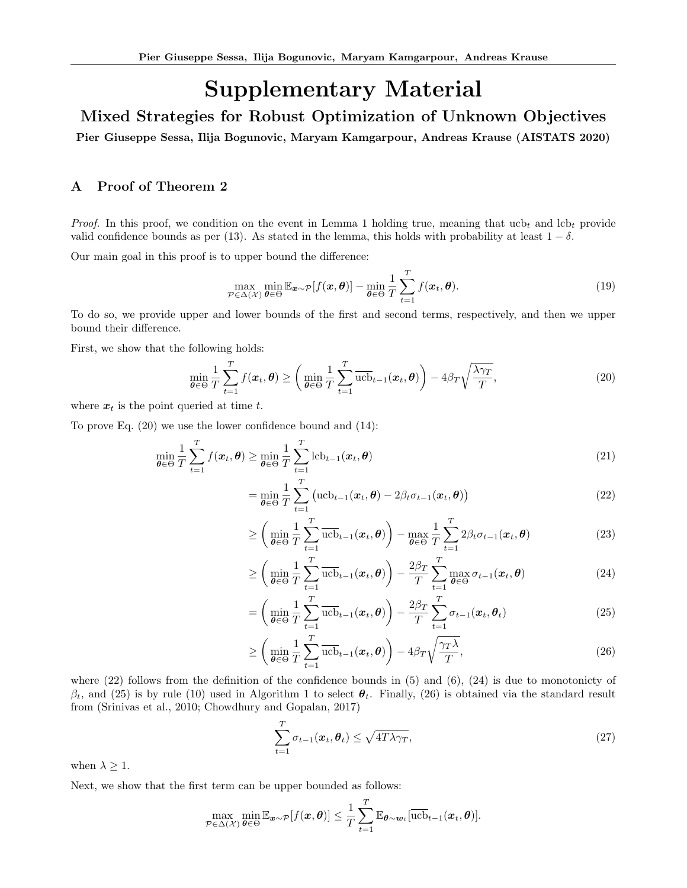# Supplementary Material

Mixed Strategies for Robust Optimization of Unknown Objectives

Pier Giuseppe Sessa, Ilija Bogunovic, Maryam Kamgarpour, Andreas Krause (AISTATS 2020)

# A Proof of Theorem 2

*Proof.* In this proof, we condition on the event in Lemma 1 holding true, meaning that ucb<sub>t</sub> and lcb<sub>t</sub> provide valid confidence bounds as per (13). As stated in the lemma, this holds with probability at least  $1 - \delta$ .

Our main goal in this proof is to upper bound the difference:

$$
\max_{\mathcal{P}\in\Delta(\mathcal{X})}\min_{\boldsymbol{\theta}\in\Theta}\mathbb{E}_{\boldsymbol{x}\sim\mathcal{P}}[f(\boldsymbol{x},\boldsymbol{\theta})]-\min_{\boldsymbol{\theta}\in\Theta}\frac{1}{T}\sum_{t=1}^T f(\boldsymbol{x}_t,\boldsymbol{\theta}).
$$
\n(19)

To do so, we provide upper and lower bounds of the first and second terms, respectively, and then we upper bound their difference.

First, we show that the following holds:

$$
\min_{\boldsymbol{\theta} \in \Theta} \frac{1}{T} \sum_{t=1}^{T} f(\boldsymbol{x}_t, \boldsymbol{\theta}) \ge \left( \min_{\boldsymbol{\theta} \in \Theta} \frac{1}{T} \sum_{t=1}^{T} \overline{\mathrm{ucb}}_{t-1}(\boldsymbol{x}_t, \boldsymbol{\theta}) \right) - 4\beta_T \sqrt{\frac{\lambda \gamma_T}{T}},
$$
\n(20)

where  $x_t$  is the point queried at time t.

To prove Eq. (20) we use the lower confidence bound and (14):

$$
\min_{\theta \in \Theta} \frac{1}{T} \sum_{t=1}^{T} f(\boldsymbol{x}_t, \boldsymbol{\theta}) \ge \min_{\theta \in \Theta} \frac{1}{T} \sum_{t=1}^{T} \text{lcb}_{t-1}(\boldsymbol{x}_t, \boldsymbol{\theta})
$$
\n(21)

$$
= \min_{\boldsymbol{\theta} \in \Theta} \frac{1}{T} \sum_{t=1}^{T} \left( \mathrm{ucb}_{t-1}(\boldsymbol{x}_t, \boldsymbol{\theta}) - 2\beta_t \sigma_{t-1}(\boldsymbol{x}_t, \boldsymbol{\theta}) \right)
$$
(22)

$$
\geq \left(\min_{\theta \in \Theta} \frac{1}{T} \sum_{t=1}^{T} \overline{\text{ucb}}_{t-1}(\boldsymbol{x}_t, \boldsymbol{\theta})\right) - \max_{\theta \in \Theta} \frac{1}{T} \sum_{t=1}^{T} 2\beta_t \sigma_{t-1}(\boldsymbol{x}_t, \boldsymbol{\theta}) \tag{23}
$$

$$
\geq \left(\min_{\boldsymbol{\theta}\in\Theta} \frac{1}{T} \sum_{t=1}^T \overline{\text{ucb}}_{t-1}(\boldsymbol{x}_t, \boldsymbol{\theta})\right) - \frac{2\beta_T}{T} \sum_{t=1}^T \max_{\boldsymbol{\theta}\in\Theta} \sigma_{t-1}(\boldsymbol{x}_t, \boldsymbol{\theta})
$$
(24)

$$
= \left(\min_{\theta \in \Theta} \frac{1}{T} \sum_{t=1}^{T} \overline{\mathrm{ucb}}_{t-1}(\boldsymbol{x}_t, \boldsymbol{\theta})\right) - \frac{2\beta_T}{T} \sum_{t=1}^{T} \sigma_{t-1}(\boldsymbol{x}_t, \boldsymbol{\theta}_t)
$$
(25)

$$
\geq \left(\min_{\boldsymbol{\theta}\in\Theta} \frac{1}{T} \sum_{t=1}^T \overline{\text{ucb}}_{t-1}(\boldsymbol{x}_t, \boldsymbol{\theta})\right) - 4\beta_T \sqrt{\frac{\gamma_T \lambda}{T}},\tag{26}
$$

where  $(22)$  follows from the definition of the confidence bounds in  $(5)$  and  $(6)$ ,  $(24)$  is due to monotonicty of  $\beta_t$ , and (25) is by rule (10) used in Algorithm 1 to select  $\theta_t$ . Finally, (26) is obtained via the standard result from (Srinivas et al., 2010; Chowdhury and Gopalan, 2017)

$$
\sum_{t=1}^{T} \sigma_{t-1}(\boldsymbol{x}_t, \boldsymbol{\theta}_t) \le \sqrt{4T \lambda \gamma_T},
$$
\n(27)

when  $\lambda \geq 1$ .

Next, we show that the first term can be upper bounded as follows:

$$
\max_{\mathcal{P}\in\Delta(\mathcal{X})}\min_{\theta\in\Theta}\mathbb{E}_{\boldsymbol{x}\sim\mathcal{P}}[f(\boldsymbol{x},\boldsymbol{\theta})]\leq\frac{1}{T}\sum_{t=1}^T\mathbb{E}_{\boldsymbol{\theta}\sim\boldsymbol{w}_t}[\overline{\mathrm{ucb}}_{t-1}(\boldsymbol{x}_t,\boldsymbol{\theta})].
$$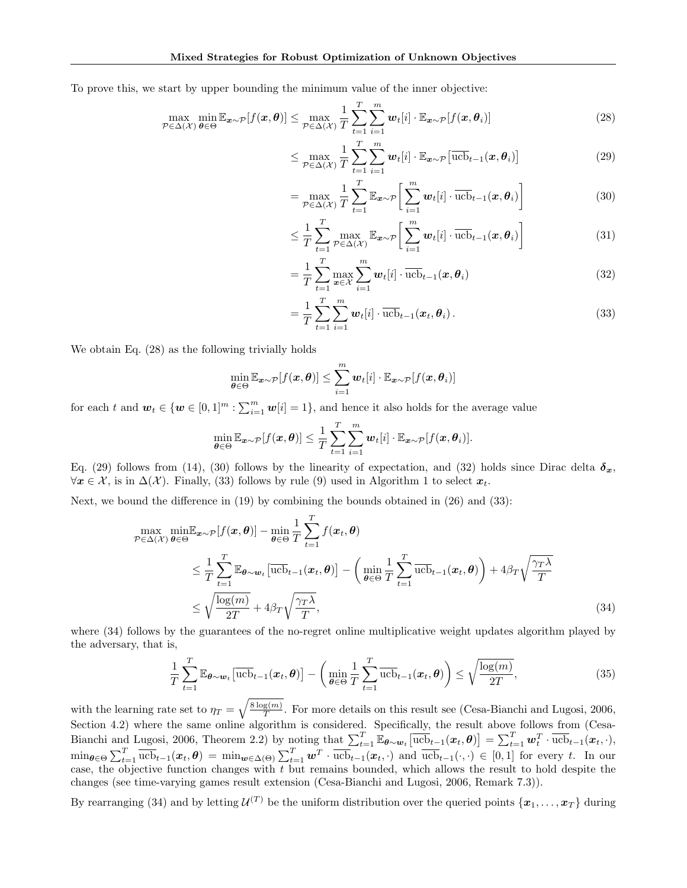To prove this, we start by upper bounding the minimum value of the inner objective:

$$
\max_{\mathcal{P}\in\Delta(\mathcal{X})}\min_{\theta\in\Theta}\mathbb{E}_{\boldsymbol{x}\sim\mathcal{P}}[f(\boldsymbol{x},\boldsymbol{\theta})] \le \max_{\mathcal{P}\in\Delta(\mathcal{X})}\frac{1}{T}\sum_{t=1}^T\sum_{i=1}^m\boldsymbol{w}_t[i]\cdot\mathbb{E}_{\boldsymbol{x}\sim\mathcal{P}}[f(\boldsymbol{x},\boldsymbol{\theta}_i)]
$$
(28)

$$
\leq \max_{\mathcal{P} \in \Delta(\mathcal{X})} \frac{1}{T} \sum_{t=1}^{T} \sum_{i=1}^{m} \boldsymbol{w}_t[i] \cdot \mathbb{E}_{\boldsymbol{x} \sim \mathcal{P}} \big[ \overline{\text{ucb}}_{t-1}(\boldsymbol{x}, \boldsymbol{\theta}_i) \big] \tag{29}
$$

$$
= \max_{\mathcal{P} \in \Delta(\mathcal{X})} \frac{1}{T} \sum_{t=1}^{T} \mathbb{E}_{\boldsymbol{x} \sim \mathcal{P}} \bigg[ \sum_{i=1}^{m} \boldsymbol{w}_t[i] \cdot \overline{\text{ucb}}_{t-1}(\boldsymbol{x}, \boldsymbol{\theta}_i) \bigg] \tag{30}
$$

$$
\leq \frac{1}{T} \sum_{t=1}^{T} \max_{\mathcal{P} \in \Delta(\mathcal{X})} \mathbb{E}_{\mathbf{x} \sim \mathcal{P}} \bigg[ \sum_{i=1}^{m} \mathbf{w}_t[i] \cdot \overline{\text{ucb}}_{t-1}(\mathbf{x}, \theta_i) \bigg] \tag{31}
$$

$$
= \frac{1}{T} \sum_{t=1}^{T} \max_{\boldsymbol{x} \in \mathcal{X}} \sum_{i=1}^{m} \boldsymbol{w}_t[i] \cdot \overline{\text{ucb}}_{t-1}(\boldsymbol{x}, \boldsymbol{\theta}_i)
$$
(32)

$$
= \frac{1}{T} \sum_{t=1}^{T} \sum_{i=1}^{m} \boldsymbol{w}_t[i] \cdot \overline{\text{ucb}}_{t-1}(\boldsymbol{x}_t, \boldsymbol{\theta}_i).
$$
 (33)

We obtain Eq. (28) as the following trivially holds

$$
\min_{\boldsymbol{\theta} \in \Theta} \mathbb{E}_{\boldsymbol{x} \sim \mathcal{P}}[f(\boldsymbol{x}, \boldsymbol{\theta})] \le \sum_{i=1}^m \boldsymbol{w}_t[i] \cdot \mathbb{E}_{\boldsymbol{x} \sim \mathcal{P}}[f(\boldsymbol{x}, \boldsymbol{\theta}_i)]
$$

for each t and  $w_t \in \{w \in [0,1]^m : \sum_{i=1}^m w[i]=1\}$ , and hence it also holds for the average value

$$
\min_{\boldsymbol{\theta}\in\Theta} \mathbb{E}_{\boldsymbol{x}\sim\mathcal{P}}[f(\boldsymbol{x},\boldsymbol{\theta})] \leq \frac{1}{T} \sum_{t=1}^T \sum_{i=1}^m \boldsymbol{w}_t[i] \cdot \mathbb{E}_{\boldsymbol{x}\sim\mathcal{P}}[f(\boldsymbol{x},\boldsymbol{\theta}_i)].
$$

Eq. (29) follows from (14), (30) follows by the linearity of expectation, and (32) holds since Dirac delta  $\delta_x$ ,  $\forall x \in \mathcal{X}$ , is in  $\Delta(\mathcal{X})$ . Finally, (33) follows by rule (9) used in Algorithm 1 to select  $x_t$ .

Next, we bound the difference in (19) by combining the bounds obtained in (26) and (33):

$$
\max_{\mathcal{P}\in\Delta(\mathcal{X})}\min_{\theta\in\Theta}\mathbb{E}_{\mathbf{x}\sim\mathcal{P}}[f(\mathbf{x},\theta)] - \min_{\theta\in\Theta}\frac{1}{T}\sum_{t=1}^{T}f(\mathbf{x}_t,\theta) \n\leq \frac{1}{T}\sum_{t=1}^{T}\mathbb{E}_{\theta\sim\mathbf{w}_t}[\text{ucb}_{t-1}(\mathbf{x}_t,\theta)] - \left(\min_{\theta\in\Theta}\frac{1}{T}\sum_{t=1}^{T}\text{ucb}_{t-1}(\mathbf{x}_t,\theta)\right) + 4\beta_T\sqrt{\frac{\gamma_T\lambda}{T}} \n\leq \sqrt{\frac{\log(m)}{2T}} + 4\beta_T\sqrt{\frac{\gamma_T\lambda}{T}},
$$
\n(34)

where  $(34)$  follows by the guarantees of the no-regret online multiplicative weight updates algorithm played by the adversary, that is,

$$
\frac{1}{T} \sum_{t=1}^{T} \mathbb{E}_{\boldsymbol{\theta} \sim \boldsymbol{w}_t} \left[ \overline{\mathrm{ucb}}_{t-1}(\boldsymbol{x}_t, \boldsymbol{\theta}) \right] - \left( \min_{\boldsymbol{\theta} \in \Theta} \frac{1}{T} \sum_{t=1}^{T} \overline{\mathrm{ucb}}_{t-1}(\boldsymbol{x}_t, \boldsymbol{\theta}) \right) \leq \sqrt{\frac{\log(m)}{2T}},\tag{35}
$$

with the learning rate set to  $\eta_T = \sqrt{\frac{8 \log(m)}{T}}$  $\frac{g(m)}{T}$ . For more details on this result see (Cesa-Bianchi and Lugosi, 2006, Section 4.2) where the same online algorithm is considered. Specifically, the result above follows from (Cesa-Bianchi and Lugosi, 2006, Theorem 2.2) by noting that  $\sum_{t=1}^{T} \mathbb{E}_{\theta \sim \mathbf{w}_t} \left[ \overline{\mathrm{ucb}}_{t-1}(\mathbf{x}_t, \theta) \right] = \sum_{t=1}^{T} \mathbf{w}_t^T \cdot \overline{\mathrm{ucb}}_{t-1}(\mathbf{x}_t, \cdot),$  $\min_{\theta \in \Theta} \sum_{t=1}^T \overline{\text{ucb}}_{t-1}(x_t, \theta) = \min_{\boldsymbol{w} \in \Delta(\Theta)} \sum_{t=1}^T \boldsymbol{w}^T \cdot \overline{\text{ucb}}_{t-1}(x_t, \cdot)$  and  $\overline{\text{ucb}}_{t-1}(\cdot, \cdot) \in [0, 1]$  for every t. In our case, the objective function changes with  $t$  but remains bounded, which allows the result to hold despite the changes (see time-varying games result extension (Cesa-Bianchi and Lugosi, 2006, Remark 7.3)).

By rearranging (34) and by letting  $\mathcal{U}^{(T)}$  be the uniform distribution over the queried points  $\{x_1, \ldots, x_T\}$  during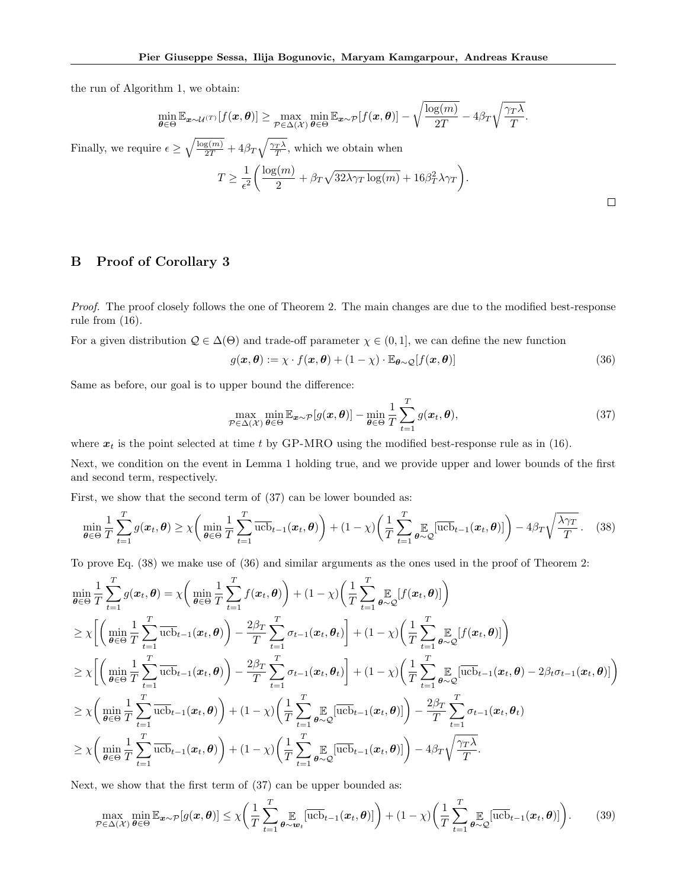the run of Algorithm 1, we obtain:

$$
\min_{\boldsymbol{\theta}\in\Theta} \mathbb{E}_{\boldsymbol{x}\sim\mathcal{U}^{(T)}}[f(\boldsymbol{x},\boldsymbol{\theta})] \geq \max_{\mathcal{P}\in\Delta(\mathcal{X})} \min_{\boldsymbol{\theta}\in\Theta} \mathbb{E}_{\boldsymbol{x}\sim\mathcal{P}}[f(\boldsymbol{x},\boldsymbol{\theta})] - \sqrt{\frac{\log(m)}{2T}} - 4\beta_T\sqrt{\frac{\gamma_T\lambda}{T}}.
$$

Finally, we require  $\epsilon \geq \sqrt{\frac{\log(m)}{2T}} + 4\beta_T \sqrt{\frac{\gamma_T \lambda}{T}}$ , which we obtain when

$$
T \ge \frac{1}{\epsilon^2} \left( \frac{\log(m)}{2} + \beta_T \sqrt{32\lambda \gamma_T \log(m)} + 16\beta_T^2 \lambda \gamma_T \right).
$$

# B Proof of Corollary 3

Proof. The proof closely follows the one of Theorem 2. The main changes are due to the modified best-response rule from (16).

For a given distribution  $\mathcal{Q} \in \Delta(\Theta)$  and trade-off parameter  $\chi \in (0,1]$ , we can define the new function

$$
g(\boldsymbol{x}, \boldsymbol{\theta}) := \chi \cdot f(\boldsymbol{x}, \boldsymbol{\theta}) + (1 - \chi) \cdot \mathbb{E}_{\boldsymbol{\theta} \sim \mathcal{Q}}[f(\boldsymbol{x}, \boldsymbol{\theta})]
$$
(36)

Same as before, our goal is to upper bound the difference:

$$
\max_{\mathcal{P}\in\Delta(\mathcal{X})}\min_{\boldsymbol{\theta}\in\Theta}\mathbb{E}_{\boldsymbol{x}\sim\mathcal{P}}[g(\boldsymbol{x},\boldsymbol{\theta})]-\min_{\boldsymbol{\theta}\in\Theta}\frac{1}{T}\sum_{t=1}^T g(\boldsymbol{x}_t,\boldsymbol{\theta}),
$$
\n(37)

where  $x_t$  is the point selected at time t by GP-MRO using the modified best-response rule as in (16).

Next, we condition on the event in Lemma 1 holding true, and we provide upper and lower bounds of the first and second term, respectively.

First, we show that the second term of  $(37)$  can be lower bounded as:

$$
\min_{\boldsymbol{\theta} \in \Theta} \frac{1}{T} \sum_{t=1}^{T} g(\boldsymbol{x}_t, \boldsymbol{\theta}) \geq \chi \bigg( \min_{\boldsymbol{\theta} \in \Theta} \frac{1}{T} \sum_{t=1}^{T} \overline{\text{ucb}}_{t-1}(\boldsymbol{x}_t, \boldsymbol{\theta}) \bigg) + (1 - \chi) \bigg( \frac{1}{T} \sum_{t=1}^{T} \sum_{\boldsymbol{\theta} \sim \mathcal{Q}} \overline{[\text{ucb}}_{t-1}(\boldsymbol{x}_t, \boldsymbol{\theta})] \bigg) - 4\beta_T \sqrt{\frac{\lambda \gamma_T}{T}}. \tag{38}
$$

To prove Eq. (38) we make use of (36) and similar arguments as the ones used in the proof of Theorem 2:

$$
\min_{\theta \in \Theta} \frac{1}{T} \sum_{t=1}^{T} g(\boldsymbol{x}_t, \theta) = \chi \bigg( \min_{\theta \in \Theta} \frac{1}{T} \sum_{t=1}^{T} f(\boldsymbol{x}_t, \theta) \bigg) + (1 - \chi) \bigg( \frac{1}{T} \sum_{t=1}^{T} \sum_{\theta \sim \mathcal{Q}} [f(\boldsymbol{x}_t, \theta)] \bigg) \n\geq \chi \bigg[ \bigg( \min_{\theta \in \Theta} \frac{1}{T} \sum_{t=1}^{T} \overline{\text{ucb}}_{t-1}(\boldsymbol{x}_t, \theta) \bigg) - \frac{2\beta_T}{T} \sum_{t=1}^{T} \sigma_{t-1}(\boldsymbol{x}_t, \theta_t) \bigg] + (1 - \chi) \bigg( \frac{1}{T} \sum_{t=1}^{T} \sum_{\theta \sim \mathcal{Q}} [f(\boldsymbol{x}_t, \theta)] \bigg) \n\geq \chi \bigg[ \bigg( \min_{\theta \in \Theta} \frac{1}{T} \sum_{t=1}^{T} \overline{\text{ucb}}_{t-1}(\boldsymbol{x}_t, \theta) \bigg) - \frac{2\beta_T}{T} \sum_{t=1}^{T} \sigma_{t-1}(\boldsymbol{x}_t, \theta_t) \bigg] + (1 - \chi) \bigg( \frac{1}{T} \sum_{t=1}^{T} \sum_{\theta \sim \mathcal{Q}} \overline{[\text{ucb}}_{t-1}(\boldsymbol{x}_t, \theta) - 2\beta_t \sigma_{t-1}(\boldsymbol{x}_t, \theta)] \bigg) \n\geq \chi \bigg( \min_{\theta \in \Theta} \frac{1}{T} \sum_{t=1}^{T} \overline{\text{ucb}}_{t-1}(\boldsymbol{x}_t, \theta) \bigg) + (1 - \chi) \bigg( \frac{1}{T} \sum_{t=1}^{T} \sum_{\theta \sim \mathcal{Q}} \overline{[\text{ucb}}_{t-1}(\boldsymbol{x}_t, \theta)] \bigg) - \frac{2\beta_T}{T} \sum_{t=1}^{T} \sigma_{t-1}(\boldsymbol{x}_t, \theta) \n\geq \chi \bigg( \min_{\theta \in \Theta} \frac{1}{T} \sum_{t=1}^{T} \overline{\text{ucb}}_{t-1}(\boldsymbol{x}_t
$$

Next, we show that the first term of (37) can be upper bounded as:

$$
\max_{\mathcal{P}\in\Delta(\mathcal{X})}\min_{\theta\in\Theta}\mathbb{E}_{\boldsymbol{x}\sim\mathcal{P}}[g(\boldsymbol{x},\boldsymbol{\theta})]\leq \chi\bigg(\frac{1}{T}\sum_{t=1}^T\sum_{\theta\sim\boldsymbol{w}_t}^{\infty}[\overline{\text{ucb}}_{t-1}(\boldsymbol{x}_t,\boldsymbol{\theta})]\bigg) + (1-\chi)\bigg(\frac{1}{T}\sum_{t=1}^T\sum_{\theta\sim\mathcal{Q}}^{\infty}[\overline{\text{ucb}}_{t-1}(\boldsymbol{x}_t,\boldsymbol{\theta})]\bigg). \tag{39}
$$